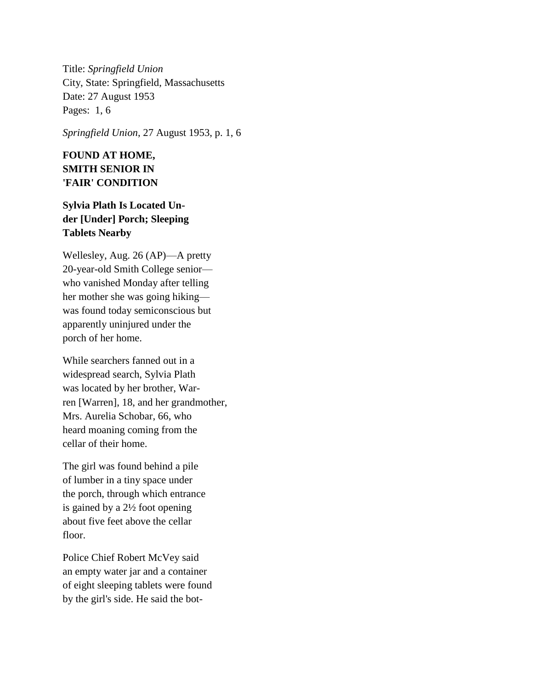Title: *Springfield Union* City, State: Springfield, Massachusetts Date: 27 August 1953 Pages: 1, 6

*Springfield Union*, 27 August 1953, p. 1, 6

## **FOUND AT HOME, SMITH SENIOR IN 'FAIR' CONDITION**

## **Sylvia Plath Is Located Under [Under] Porch; Sleeping Tablets Nearby**

Wellesley, Aug. 26 (AP)—A pretty 20-year-old Smith College senior who vanished Monday after telling her mother she was going hiking was found today semiconscious but apparently uninjured under the porch of her home.

While searchers fanned out in a widespread search, Sylvia Plath was located by her brother, Warren [Warren], 18, and her grandmother, Mrs. Aurelia Schobar, 66, who heard moaning coming from the cellar of their home.

The girl was found behind a pile of lumber in a tiny space under the porch, through which entrance is gained by a 2½ foot opening about five feet above the cellar floor.

Police Chief Robert McVey said an empty water jar and a container of eight sleeping tablets were found by the girl's side. He said the bot-